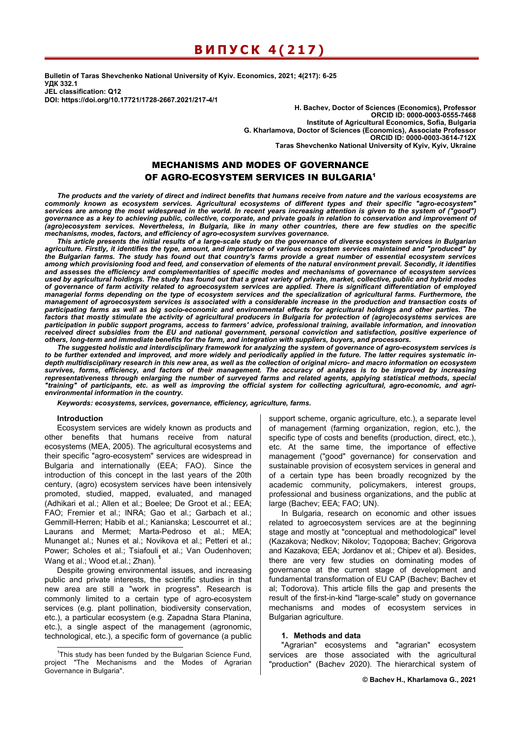# **ВИПУСК 4(217)**

**Bulletin of Taras Shevchenko National University of Kyiv. Economics, 2021; 4(217): 6-25 УДК 332.1 JEL classification: Q12 DOI: https://doi.org/10.17721/1728-2667.2021/217-4/1** 

**H. Bachev, Doctor of Sciences (Economics), Professor ORCID ID: 0000-0003-0555-7468 Institute of Agricultural Economics, Sofia, Bulgaria G. Kharlamova, Doctor of Sciences (Economics), Associate Professor ORCID ID: 0000-0003-3614-712X Taras Shevchenko National University of Kyiv, Kyiv, Ukraine** 

## MECHANISMS AND MODES OF GOVERNANCE OF AGRO-ECOSYSTEM SERVICES IN BULGARIA<sup>1</sup>

*The products and the variety of direct and indirect benefits that humans receive from nature and the various ecosystems are commonly known as ecosystem services. Agricultural ecosystems of different types and their specific "agro-ecosystem" services are among the most widespread in the world. In recent years increasing attention is given to the system of ("good")*  governance as a key to achieving public, collective, corporate, and private goals in relation to conservation and improvement of *(agro)ecosystem services. Nevertheless, in Bulgaria, like in many other countries, there are few studies on the specific mechanisms, modes, factors, and efficiency of agro-ecosystem survives governance.* 

*This article presents the initial results of a large-scale study on the governance of diverse ecosystem services in Bulgarian agriculture. Firstly, it identifies the type, amount, and importance of various ecosystem services maintained and "produced" by the Bulgarian farms. The study has found out that country's farms provide a great number of essential ecosystem services among which provisioning food and feed, and conservation of elements of the natural environment prevail. Secondly, it identifies and assesses the efficiency and complementarities of specific modes and mechanisms of governance of ecosystem services used by agricultural holdings. The study has found out that a great variety of private, market, collective, public and hybrid modes of governance of farm activity related to agroecosystem services are applied. There is significant differentiation of employed managerial forms depending on the type of ecosystem services and the specialization of agricultural farms. Furthermore, the management of agroecosystem services is associated with a considerable increase in the production and transaction costs of participating farms as well as big socio-economic and environmental effects for agricultural holdings and other parties. The factors that mostly stimulate the activity of agricultural producers in Bulgaria for protection of (agro)ecosystems services are participation in public support programs, access to farmers' advice, professional training, available information, and innovation received direct subsidies from the EU and national government, personal conviction and satisfaction, positive experience of others, long-term and immediate benefits for the farm, and integration with suppliers, buyers, and processors.* 

*The suggested holistic and interdisciplinary framework for analyzing the system of governance of agro-ecosystem services is to be further extended and improved, and more widely and periodically applied in the future. The latter requires systematic indepth multidisciplinary research in this new area, as well as the collection of original micro- and macro information on ecosystem survives, forms, efficiency, and factors of their management. The accuracy of analyzes is to be improved by increasing representativeness through enlarging the number of surveyed farms and related agents, applying statistical methods, special "training" of participants, etc. as well as improving the official system for collecting agricultural, agro-economic, and agrienvironmental information in the country.* 

*Keywords: ecosystems, services, governance, efficiency, agriculture, farms.* 

#### **Introduction**

Ecosystem services are widely known as products and other benefits that humans receive from natural ecosystems (MEA, 2005). The agricultural ecosystems and their specific "agro-ecosystem" services are widespread in Bulgaria and internationally (EEA; FAO). Since the introduction of this concept in the last years of the 20th century, (agro) ecosystem services have been intensively promoted, studied, mapped, evaluated, and managed (Adhikari et al.; Allen et al.; Boelee; De Groot et al.; EEA; FAO; Fremier et al.; INRA; Gao et al.; Garbach et al.; Gemmill-Herren; Habib et al.; Kanianska; Lescourret et al.; Laurans and Mermet; Marta-Pedroso et al.; MЕА; Munanget al.; Nunes et al.; Novikova et al.; Petteri et al.; Power; Scholes et al.; Tsiafouli et al.; Van Oudenhoven; Wang et al.; Wood et.al.; Zhan). **<sup>1</sup>**

Despite growing environmental issues, and increasing public and private interests, the scientific studies in that new area are still a "work in progress". Research is commonly limited to a certain type of agro-ecosystem services (e.g. plant pollination, biodiversity conservation, etc.), a particular ecosystem (e.g. Zapadna Stara Planina, etc.), a single aspect of the management (agronomic, technological, etc.), a specific form of governance (a public support scheme, organic agriculture, etc.), a separate level of management (farming organization, region, etc.), the specific type of costs and benefits (production, direct, etc.), etc. At the same time, the importance of effective management ("good" governance) for conservation and sustainable provision of ecosystem services in general and of a certain type has been broadly recognized by the academic community, policymakers, interest groups, professional and business organizations, and the public at large (Bachev; EEA; FAO; UN).

In Bulgaria, research on economic and other issues related to agroecosystem services are at the beginning stage and mostly at "conceptual and methodological" level (Kazakova; Nedkov; Nikolov; Тодорова; Bachev; Grigorova and Kazakova; EEA; Jordanov et al.; Chipev et al). Besides, there are very few studies on dominating modes of governance at the current stage of development and fundamental transformation of EU CAP (Bachev; Bachev et al; Todorova). This article fills the gap and presents the result of the first-in-kind "large-scale" study on governance mechanisms and modes of ecosystem services in Bulgarian agriculture.

## **1. Methods and data**

"Agrarian" ecosystems and "agrarian" ecosystem services are those associated with the agricultural "production" (Bachev 2020). The hierarchical system of

<sup>-</sup><sup>1</sup>This study has been funded by the Bulgarian Science Fund, project "The Mechanisms and the Modes of Agrarian Governance in Bulgaria".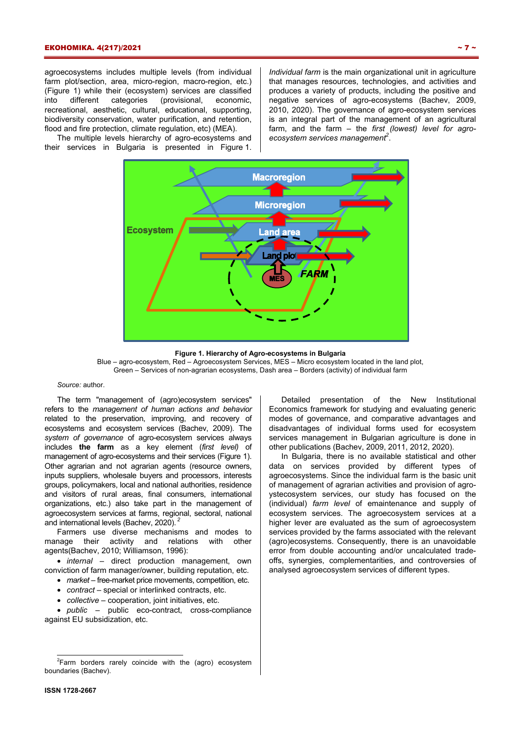agroecosystems includes multiple levels (from individual farm plot/section, area, micro-region, macro-region, etc.) (Figure 1) while their (ecosystem) services are classified into different categories (provisional, economic, recreational, aesthetic, cultural, educational, supporting, biodiversity conservation, water purification, and retention, flood and fire protection, climate regulation, etc) (MEA).

The multiple levels hierarchy of agro-ecosystems and their services in Bulgaria is presented in Figure 1. *Individual farm* is the main organizational unit in agriculture that manages resources, technologies, and activities and produces a variety of products, including the positive and negative services of agro-ecosystems (Bachev, 2009, 2010, 2020). The governance of agro-ecosystem services is an integral part of the management of an agricultural farm, and the farm – the *first (lowest) level for agroecosystem services management2* .



**Figure 1. Hierarchy of Agro-ecosystems in Bulgaria**  Blue – agro-ecosystem, Red – Agroecosystem Services, МЕS – Micro ecosystem located in the land plot, Green – Services of non-agrarian ecosystems, Dash area – Borders (activity) of individual farm

#### *Source:* author.

The term "management of (agro)ecosystem services" refers to the *management of human actions and behavior* related to the preservation, improving, and recovery of ecosystems and ecosystem services (Bachev, 2009). The *system of governance* of agro-ecosystem services always includes **the farm** as a key element (*first level)* of management of agro-ecosystems and their services (Figure 1). Other agrarian and not agrarian agents (resource owners, inputs suppliers, wholesale buyers and processors, interests groups, policymakers, local and national authorities, residence and visitors of rural areas, final consumers, international organizations, etc.) also take part in the management of agroecosystem services at farms, regional, sectoral, national and international levels (Bachev, 2020).*<sup>2</sup>*

Farmers use diverse mechanisms and modes to manage their activity and relations with other agents(Bachev, 2010; Williamson, 1996):

• *internal* – direct production management, own conviction of farm manager/owner, building reputation, etc.

- *market* free-market price movements, competition, etc.
- *contract* special or interlinked contracts, etc.
- *collective* cooperation, joint initiatives, etc.

• *public* – public eco-contract, cross-compliance against EU subsidization, etc.

Detailed presentation of the New Institutional Economics framework for studying and evaluating generic modes of governance, and comparative advantages and disadvantages of individual forms used for ecosystem services management in Bulgarian agriculture is done in other publications (Bachev, 2009, 2011, 2012, 2020).

In Bulgaria, there is no available statistical and other data on services provided by different types of agroecosystems. Since the individual farm is the basic unit of management of agrarian activities and provision of agroystecosystem services, our study has focused on the (individual) *farm level* of emaintenance and supply of ecosystem services. The agroecosystem services at a higher lever are evaluated as the sum of agroecosystem services provided by the farms associated with the relevant (agro)ecosystems. Consequently, there is an unavoidable error from double accounting and/or uncalculated tradeoffs, synergies, complementarities, and controversies of analysed agroecosystem services of different types.

 2 Farm borders rarely coincide with the (agro) ecosystem boundaries (Bachev).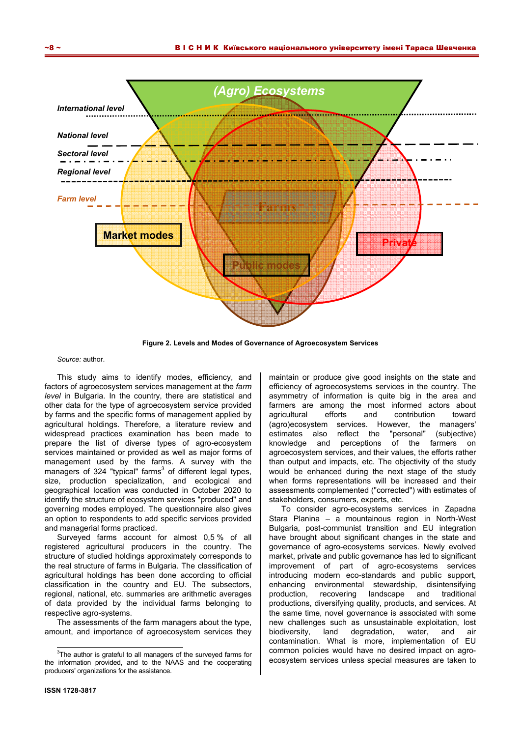

**Figure 2. Levels and Modes of Governance of Agroecosystem Services** 

*Source:* author.

This study aims to identify modes, efficiency, and factors of agroecosystem services management at the *farm level* in Bulgaria. In the country, there are statistical and other data for the type of agroecosystem service provided by farms and the specific forms of management applied by agricultural holdings. Therefore, a literature review and widespread practices examination has been made to prepare the list of diverse types of agro-ecosystem services maintained or provided as well as major forms of management used by the farms. A survey with the managers of 324 "typical" farms<sup>3</sup> of different legal types, size, production specialization, and ecological and geographical location was conducted in October 2020 to identify the structure of ecosystem services "produced" and governing modes employed. The questionnaire also gives an option to respondents to add specific services provided and managerial forms practiced.

Surveyed farms account for almost 0,5 % of all registered agricultural producers in the country. The structure of studied holdings approximately corresponds to the real structure of farms in Bulgaria. The classification of agricultural holdings has been done according to official classification in the country and EU. The subsectors, regional, national, etc. summaries are arithmetic averages of data provided by the individual farms belonging to respective agro-systems.

The assessments of the farm managers about the type, amount, and importance of agroecosystem services they

-

maintain or produce give good insights on the state and efficiency of agroecosystems services in the country. The asymmetry of information is quite big in the area and farmers are among the most informed actors about agricultural efforts and contribution toward (agro)ecosystem services. However, the managers' estimates also reflect the "personal" (subjective) knowledge and perceptions of the farmers on agroecosystem services, and their values, the efforts rather than output and impacts, etc. The objectivity of the study would be enhanced during the next stage of the study when forms representations will be increased and their assessments complemented ("corrected") with estimates of stakeholders, consumers, experts, etc.

To consider agro-ecosystems services in Zapadna Stara Planina – a mountainous region in North-West Bulgaria, post-communist transition and EU integration have brought about significant changes in the state and governance of agro-ecosystems services. Newly evolved market, private and public governance has led to significant improvement of part of agro-ecosystems services introducing modern eco-standards and public support, enhancing environmental stewardship, disintensifying production, recovering landscape and traditional productions, diversifying quality, products, and services. At the same time, novel governance is associated with some new challenges such as unsustainable exploitation, lost biodiversity, land degradation, water, and air contamination. What is more, implementation of EU common policies would have no desired impact on agroecosystem services unless special measures are taken to

 $3$ The author is grateful to all managers of the surveyed farms for the information provided, and to the NAAS and the cooperating producers' organizations for the assistance.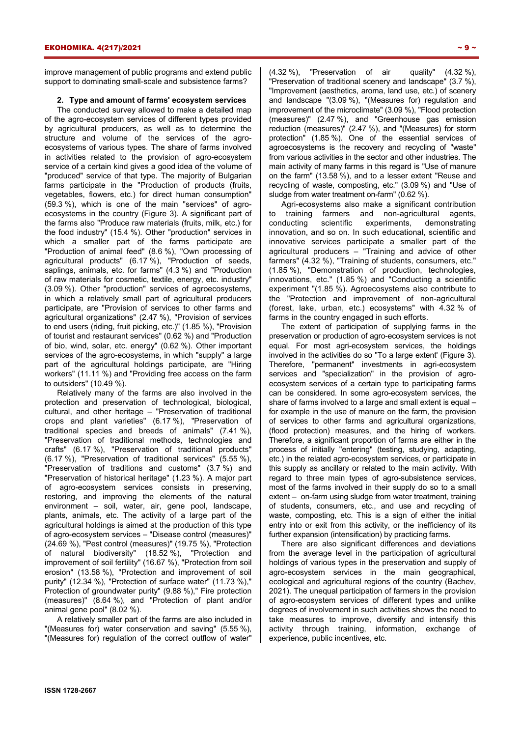improve management of public programs and extend public support to dominating small-scale and subsistence farms?

## **2. Type and amount of farms' ecosystem services**

The conducted survey allowed to make a detailed map of the agro-ecosystem services of different types provided by agricultural producers, as well as to determine the structure and volume of the services of the agroecosystems of various types. The share of farms involved in activities related to the provision of agro-ecosystem service of a certain kind gives a good idea of the volume of "produced" service of that type. The majority of Bulgarian farms participate in the "Production of products (fruits, vegetables, flowers, etc.) for direct human consumption" (59.3 %), which is one of the main "services" of agroecosystems in the country (Figure 3). A significant part of the farms also "Produce raw materials (fruits, milk, etc.) for the food industry" (15.4 %). Other "production" services in which a smaller part of the farms participate are "Production of animal feed" (8.6 %), "Own processing of agricultural products" (6.17 %), "Production of seeds, saplings, animals, etc. for farms" (4.3 %) and "Production of raw materials for cosmetic, textile, energy, etc. industry" (3.09 %). Other "production" services of agroecosystems, in which a relatively small part of agricultural producers participate, are "Provision of services to other farms and agricultural organizations" (2.47 %), "Provision of services to end users (riding, fruit picking, etc.)" (1.85 %), "Provision of tourist and restaurant services" (0.62 %) and "Production of bio, wind, solar, etc. energy" (0.62 %). Other important services of the agro-ecosystems, in which "supply" a large part of the agricultural holdings participate, are "Hiring workers" (11.11 %) and "Providing free access on the farm to outsiders" (10.49 %).

Relatively many of the farms are also involved in the protection and preservation of technological, biological, cultural, and other heritage – "Preservation of traditional crops and plant varieties" (6.17 %), "Preservation of traditional species and breeds of animals" (7.41 %), "Preservation of traditional methods, technologies and crafts" (6.17 %), "Preservation of traditional products" (6.17 %), "Preservation of traditional services" (5.55 %), "Preservation of traditions and customs" (3.7 %) and "Preservation of historical heritage" (1.23 %). A major part of agro-ecosystem services consists in preserving, restoring, and improving the elements of the natural environment – soil, water, air, gene pool, landscape, plants, animals, etc. The activity of a large part of the agricultural holdings is aimed at the production of this type of agro-ecosystem services – "Disease control (measures)" (24.69 %), "Pest control (measures)" (19.75 %), "Protection of natural biodiversity" (18.52 %), "Protection and improvement of soil fertility" (16.67 %), "Protection from soil erosion" (13.58 %), "Protection and improvement of soil purity" (12.34 %), "Protection of surface water" (11.73 %)," Protection of groundwater purity" (9.88 %)," Fire protection (measures)" (8.64 %), and "Protection of plant and/or animal gene pool" (8.02 %).

A relatively smaller part of the farms are also included in "(Measures for) water conservation and saving" (5.55 %), "(Measures for) regulation of the correct outflow of water"  $(4.32\%)$ , "Preservation of air quality"  $(4.32\%)$ , "Preservation of traditional scenery and landscape" (3.7 %), "Improvement (aesthetics, aroma, land use, etc.) of scenery and landscape "(3.09 %), "(Measures for) regulation and improvement of the microclimate" (3.09 %), "Flood protection (measures)" (2.47 %), and "Greenhouse gas emission reduction (measures)" (2.47 %), and "(Measures) for storm protection" (1.85 %). One of the essential services of agroecosystems is the recovery and recycling of "waste" from various activities in the sector and other industries. The main activity of many farms in this regard is "Use of manure on the farm" (13.58 %), and to a lesser extent "Reuse and recycling of waste, composting, etc." (3.09 %) and "Use of sludge from water treatment on-farm" (0.62 %).

Agri-ecosystems also make a significant contribution to training farmers and non-agricultural agents, conducting scientific experiments, demonstrating innovation, and so on. In such educational, scientific and innovative services participate a smaller part of the agricultural producers – "Training and advice of other farmers" (4.32 %), "Training of students, consumers, etc." (1.85 %), "Demonstration of production, technologies, innovations, etc." (1.85 %) and "Conducting a scientific experiment "(1.85 %). Agroecosystems also contribute to the "Protection and improvement of non-agricultural (forest, lake, urban, etc.) ecosystems" with 4.32 % of farms in the country engaged in such efforts.

The extent of participation of supplying farms in the preservation or production of agro-ecosystem services is not equal. For most agri-ecosystem services, the holdings involved in the activities do so "To a large extent' (Figure 3). Therefore, "permanent" investments in agri-ecosystem services and "specialization" in the provision of agroecosystem services of a certain type to participating farms can be considered. In some agro-ecosystem services, the share of farms involved to a large and small extent is equal – for example in the use of manure on the farm, the provision of services to other farms and agricultural organizations, (flood protection) measures, and the hiring of workers. Therefore, a significant proportion of farms are either in the process of initially "entering" (testing, studying, adapting, etc.) in the related agro-ecosystem services, or participate in this supply as ancillary or related to the main activity. With regard to three main types of agro-subsistence services, most of the farms involved in their supply do so to a small extent – on-farm using sludge from water treatment, training of students, consumers, etc., and use and recycling of waste, composting, etc. This is a sign of either the initial entry into or exit from this activity, or the inefficiency of its further expansion (intensification) by practicing farms.

There are also significant differences and deviations from the average level in the participation of agricultural holdings of various types in the preservation and supply of agro-ecosystem services in the main geographical, ecological and agricultural regions of the country (Bachev, 2021). The unequal participation of farmers in the provision of agro-ecosystem services of different types and unlike degrees of involvement in such activities shows the need to take measures to improve, diversify and intensify this activity through training, information, exchange of experience, public incentives, etc.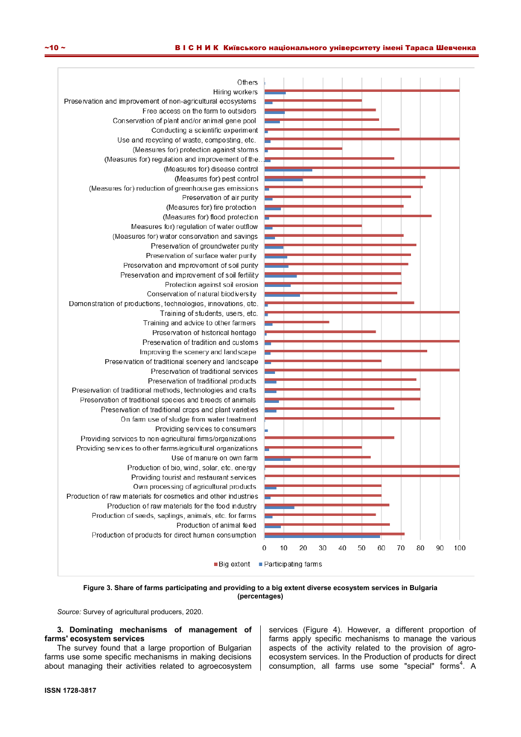

**Figure 3. Share of farms participating and providing to a big extent diverse ecosystem services in Bulgaria (percentages)** 

**3. Dominating mechanisms of management of farms' ecosystem services** 

The survey found that a large proportion of Bulgarian farms use some specific mechanisms in making decisions about managing their activities related to agroecosystem services (Figure 4). However, a different proportion of farms apply specific mechanisms to manage the various aspects of the activity related to the provision of agroecosystem services. In the Production of products for direct consumption, all farms use some "special" forms<sup>4</sup>. A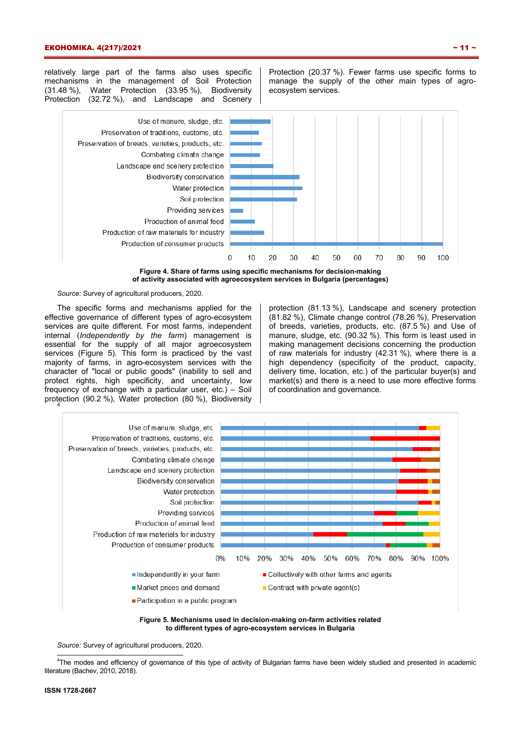relatively large part of the farms also uses specific mechanisms in the management of Soil Protection (31.48 %), Water Protection (33.95 %), Biodiversity Protection (32.72 %), and Landscape and Scenery Protection (20.37 %). Fewer farms use specific forms to manage the supply of the other main types of agroecosystem services.



**Figure 4. Share of farms using specific mechanisms for decision-making of activity associated with agroecosystem services in Bulgaria (percentages)** 

#### *Source:* Survey of agricultural producers, 2020.

The specific forms and mechanisms applied for the effective governance of different types of agro-ecosystem services are quite different. For most farms, independent internal (*Independently by the farm*) management is essential for the supply of all major agroecosystem services (Figure 5). This form is practiced by the vast majority of farms, in agro-ecosystem services with the character of "local or public goods" (inability to sell and protect rights, high specificity, and uncertainty, low frequency of exchange with a particular user, etc.) – Soil protection (90.2 %), Water protection (80 %), Biodiversity 4

protection (81.13 %), Landscape and scenery protection (81.82 %), Climate change control (78.26 %), Preservation of breeds, varieties, products, etc. (87.5 %) and Use of manure, sludge, etc. (90.32 %). This form is least used in making management decisions concerning the production of raw materials for industry (42.31 %), where there is a high dependency (specificity of the product, capacity, delivery time, location, etc.) of the particular buyer(s) and market(s) and there is a need to use more effective forms of coordination and governance.



**Figure 5. Mechanisms used in decision-making on-farm activities related to different types of agro-ecosystem services in Bulgaria** 

*Source:* Survey of agricultural producers, 2020.

 4 The modes and efficiency of governance of this type of activity of Bulgarian farms have been widely studied and presented in academic literature (Bachev, 2010, 2018).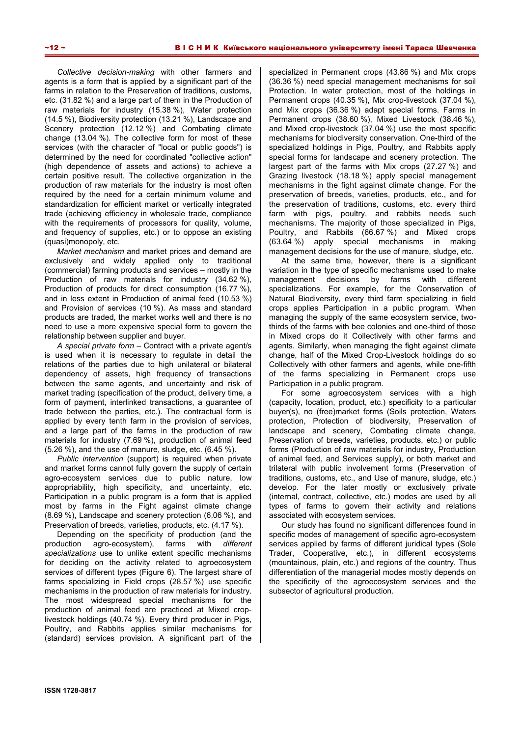*Collective decision-making* with other farmers and agents is a form that is applied by a significant part of the farms in relation to the Preservation of traditions, customs, etc. (31.82 %) and a large part of them in the Production of raw materials for industry (15.38 %), Water protection (14.5 %), Biodiversity protection (13.21 %), Landscape and Scenery protection (12.12 %) and Combating climate change (13.04 %). The collective form for most of these services (with the character of "local or public goods") is determined by the need for coordinated "collective action" (high dependence of assets and actions) to achieve a certain positive result. The collective organization in the production of raw materials for the industry is most often required by the need for a certain minimum volume and standardization for efficient market or vertically integrated trade (achieving efficiency in wholesale trade, compliance with the requirements of processors for quality, volume, and frequency of supplies, etc.) or to oppose an existing (quasi)monopoly, etc.

*Market mechanism* and market prices and demand are exclusively and widely applied only to traditional (commercial) farming products and services – mostly in the Production of raw materials for industry (34.62 %), Production of products for direct consumption (16.77 %), and in less extent in Production of animal feed (10.53 %) and Provision of services (10 %). As mass and standard products are traded, the market works well and there is no need to use a more expensive special form to govern the relationship between supplier and buyer.

*A special private form* – Contract with a private agent/s is used when it is necessary to regulate in detail the relations of the parties due to high unilateral or bilateral dependency of assets, high frequency of transactions between the same agents, and uncertainty and risk of market trading (specification of the product, delivery time, a form of payment, interlinked transactions, a guarantee of trade between the parties, etc.). The contractual form is applied by every tenth farm in the provision of services, and a large part of the farms in the production of raw materials for industry (7.69 %), production of animal feed (5.26 %), and the use of manure, sludge, etc. (6.45 %).

*Public intervention* (support) is required when private and market forms cannot fully govern the supply of certain agro-ecosystem services due to public nature, low appropriability, high specificity, and uncertainty, etc. Participation in a public program is a form that is applied most by farms in the Fight against climate change (8.69 %), Landscape and scenery protection (6.06 %), and Preservation of breeds, varieties, products, etc. (4.17 %).

Depending on the specificity of production (and the production agro-ecosystem), farms with *different specializations* use to unlike extent specific mechanisms for deciding on the activity related to agroecosystem services of different types (Figure 6). The largest share of farms specializing in Field crops (28.57 %) use specific mechanisms in the production of raw materials for industry. The most widespread special mechanisms for the production of animal feed are practiced at Mixed croplivestock holdings (40.74 %). Every third producer in Pigs, Poultry, and Rabbits applies similar mechanisms for (standard) services provision. A significant part of the specialized in Permanent crops (43.86 %) and Mix crops (36.36 %) need special management mechanisms for soil Protection. In water protection, most of the holdings in Permanent crops (40.35 %), Mix crop-livestock (37.04 %), and Mix crops (36.36 %) adapt special forms. Farms in Permanent crops (38.60 %), Mixed Livestock (38.46 %), and Mixed crop-livestock (37.04 %) use the most specific mechanisms for biodiversity conservation. One-third of the specialized holdings in Pigs, Poultry, and Rabbits apply special forms for landscape and scenery protection. The largest part of the farms with Mix crops (27.27 %) and Grazing livestock (18.18 %) apply special management mechanisms in the fight against climate change. For the preservation of breeds, varieties, products, etc., and for the preservation of traditions, customs, etc. every third farm with pigs, poultry, and rabbits needs such mechanisms. The majority of those specialized in Pigs, Poultry, and Rabbits (66.67 %) and Mixed crops (63.64 %) apply special mechanisms in making management decisions for the use of manure, sludge, etc.

At the same time, however, there is a significant variation in the type of specific mechanisms used to make management decisions by farms with different specializations. For example, for the Conservation of Natural Biodiversity, every third farm specializing in field crops applies Participation in a public program. When managing the supply of the same ecosystem service, twothirds of the farms with bee colonies and one-third of those in Mixed crops do it Collectively with other farms and agents. Similarly, when managing the fight against climate change, half of the Mixed Crop-Livestock holdings do so Collectively with other farmers and agents, while one-fifth of the farms specializing in Permanent crops use Participation in a public program.

For some agroecosystem services with a high (capacity, location, product, etc.) specificity to a particular buyer(s), no (free)market forms (Soils protection, Waters protection, Protection of biodiversity, Preservation of landscape and scenery, Combating climate change, Preservation of breeds, varieties, products, etc.) or public forms (Production of raw materials for industry, Production of animal feed, and Services supply), or both market and trilateral with public involvement forms (Preservation of traditions, customs, etc., and Use of manure, sludge, etc.) develop. For the later mostly or exclusively private (internal, contract, collective, etc.) modes are used by all types of farms to govern their activity and relations associated with ecosystem services.

Our study has found no significant differences found in specific modes of management of specific agro-ecosystem services applied by farms of different juridical types (Sole Trader, Cooperative, etc.), in different ecosystems (mountainous, plain, etc.) and regions of the country. Thus differentiation of the managerial modes mostly depends on the specificity of the agroecosystem services and the subsector of agricultural production.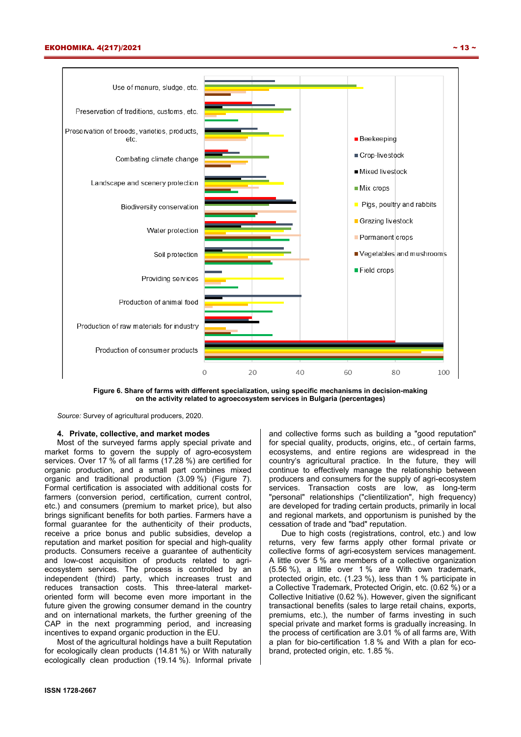

**Figure 6. Share of farms with different specialization, using specific mechanisms in decision-making on the activity related to agroecosystem services in Bulgaria (percentages)** 

#### **4. Private, collective, and market modes**

Most of the surveyed farms apply special private and market forms to govern the supply of agro-ecosystem services. Over 17 % of all farms (17.28 %) are certified for organic production, and a small part combines mixed organic and traditional production (3.09 %) (Figure 7). Formal certification is associated with additional costs for farmers (conversion period, certification, current control, etc.) and consumers (premium to market price), but also brings significant benefits for both parties. Farmers have a formal guarantee for the authenticity of their products, receive a price bonus and public subsidies, develop a reputation and market position for special and high-quality products. Consumers receive a guarantee of authenticity and low-cost acquisition of products related to agriecosystem services. The process is controlled by an independent (third) party, which increases trust and reduces transaction costs. This three-lateral marketoriented form will become even more important in the future given the growing consumer demand in the country and on international markets, the further greening of the CAP in the next programming period, and increasing incentives to expand organic production in the EU.

Most of the agricultural holdings have a built Reputation for ecologically clean products (14.81 %) or With naturally ecologically clean production (19.14 %). Informal private

country's agricultural practice. In the future, they will continue to effectively manage the relationship between producers and consumers for the supply of agri-ecosystem services. Transaction costs are low, as long-term "personal" relationships ("clientilization", high frequency) are developed for trading certain products, primarily in local and regional markets, and opportunism is punished by the cessation of trade and "bad" reputation. Due to high costs (registrations, control, etc.) and low

returns, very few farms apply other formal private or collective forms of agri-ecosystem services management. A little over 5 % are members of a collective organization (5.56 %), a little over 1 % are With own trademark, protected origin, etc. (1.23 %), less than 1 % participate in a Collective Trademark, Protected Origin, etc. (0.62 %) or a Collective Initiative (0.62 %). However, given the significant transactional benefits (sales to large retail chains, exports, premiums, etc.), the number of farms investing in such special private and market forms is gradually increasing. In the process of certification are 3.01 % of all farms are, With a plan for bio-certification 1.8 % and With a plan for ecobrand, protected origin, etc. 1.85 %.

and collective forms such as building a "good reputation" for special quality, products, origins, etc., of certain farms, ecosystems, and entire regions are widespread in the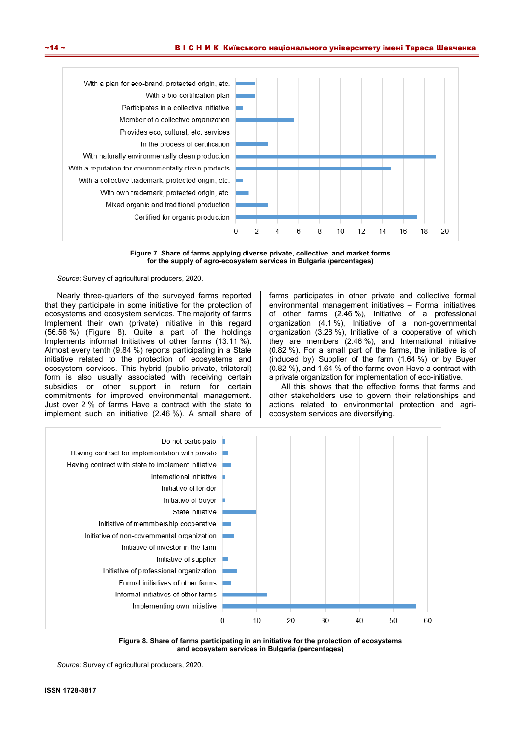

**Figure 7. Share of farms applying diverse private, collective, and market forms for the supply of agro-ecosystem services in Bulgaria (percentages)** 

Nearly three-quarters of the surveyed farms reported that they participate in some initiative for the protection of ecosystems and ecosystem services. The majority of farms Implement their own (private) initiative in this regard (56.56 %) (Figure 8). Quite a part of the holdings Implements informal Initiatives of other farms (13.11 %). Almost every tenth (9.84 %) reports participating in a State initiative related to the protection of ecosystems and ecosystem services. This hybrid (public-private, trilateral) form is also usually associated with receiving certain subsidies or other support in return for certain commitments for improved environmental management. Just over 2 % of farms Have a contract with the state to implement such an initiative (2.46 %). A small share of farms participates in other private and collective formal environmental management initiatives – Formal initiatives of other farms (2.46 %), Initiative of a professional organization (4.1%), Initiative of a non-governmental organization (3.28 %), Initiative of a cooperative of which they are members (2.46 %), and International initiative (0.82 %). For a small part of the farms, the initiative is of (induced by) Supplier of the farm (1.64 %) or by Buyer (0.82 %), and 1.64 % of the farms even Have a contract with a private organization for implementation of eco-initiative.

All this shows that the effective forms that farms and other stakeholders use to govern their relationships and actions related to environmental protection and agriecosystem services are diversifying.



**Figure 8. Share of farms participating in an initiative for the protection of ecosystems and ecosystem services in Bulgaria (percentages)** 

*Source:* Survey of agricultural producers, 2020.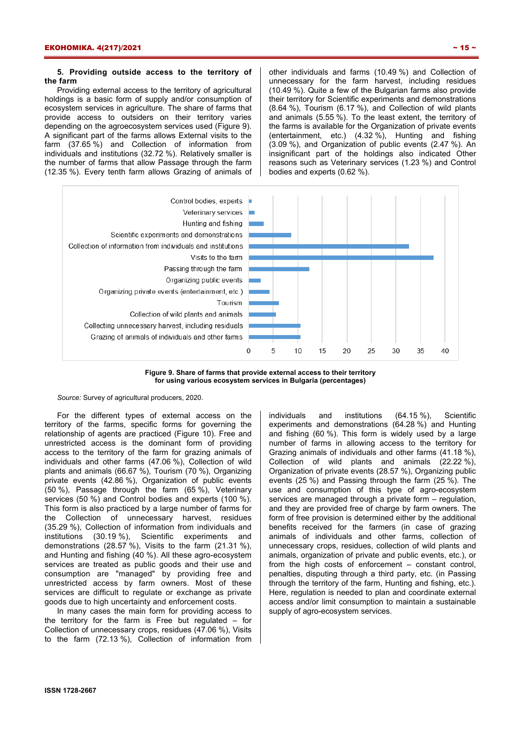## **5. Providing outside access to the territory of the farm**

Providing external access to the territory of agricultural holdings is a basic form of supply and/or consumption of ecosystem services in agriculture. The share of farms that provide access to outsiders on their territory varies depending on the agroecosystem services used (Figure 9). A significant part of the farms allows External visits to the farm (37.65 %) and Collection of information from individuals and institutions (32.72 %). Relatively smaller is the number of farms that allow Passage through the farm (12.35 %). Every tenth farm allows Grazing of animals of other individuals and farms (10.49 %) and Collection of unnecessary for the farm harvest, including residues (10.49 %). Quite a few of the Bulgarian farms also provide their territory for Scientific experiments and demonstrations (8.64 %), Tourism (6.17 %), and Collection of wild plants and animals (5.55 %). To the least extent, the territory of the farms is available for the Organization of private events (entertainment, etc.) (4.32 %), Hunting and fishing (3.09 %), and Organization of public events (2.47 %). An insignificant part of the holdings also indicated Other reasons such as Veterinary services (1.23 %) and Control bodies and experts (0.62 %).



**Figure 9. Share of farms that provide external access to their territory for using various ecosystem services in Bulgaria (percentages)** 

*Source:* Survey of agricultural producers, 2020.

For the different types of external access on the territory of the farms, specific forms for governing the relationship of agents are practiced (Figure 10). Free and unrestricted access is the dominant form of providing access to the territory of the farm for grazing animals of individuals and other farms (47.06 %), Collection of wild plants and animals (66.67 %), Tourism (70 %), Organizing private events (42.86 %), Organization of public events (50 %), Passage through the farm (65 %), Veterinary services (50 %) and Control bodies and experts (100 %). This form is also practiced by a large number of farms for the Collection of unnecessary harvest, residues (35.29 %), Collection of information from individuals and institutions (30.19 %), Scientific experiments and demonstrations (28.57 %), Visits to the farm (21.31 %), and Hunting and fishing (40 %). All these agro-ecosystem services are treated as public goods and their use and consumption are "managed" by providing free and unrestricted access by farm owners. Most of these services are difficult to regulate or exchange as private goods due to high uncertainty and enforcement costs.

In many cases the main form for providing access to the territory for the farm is Free but regulated  $-$  for Collection of unnecessary crops, residues (47.06 %), Visits to the farm (72.13 %), Collection of information from

individuals and institutions (64.15 %), Scientific experiments and demonstrations (64.28 %) and Hunting and fishing (60 %). This form is widely used by a large number of farms in allowing access to the territory for Grazing animals of individuals and other farms (41.18 %), Collection of wild plants and animals (22.22 %), Organization of private events (28.57 %), Organizing public events (25 %) and Passing through the farm (25 %). The use and consumption of this type of agro-ecosystem services are managed through a private form – regulation, and they are provided free of charge by farm owners. The form of free provision is determined either by the additional benefits received for the farmers (in case of grazing animals of individuals and other farms, collection of unnecessary crops, residues, collection of wild plants and animals, organization of private and public events, etc.), or from the high costs of enforcement – constant control, penalties, disputing through a third party, etc. (in Passing through the territory of the farm, Hunting and fishing, etc.). Here, regulation is needed to plan and coordinate external access and/or limit consumption to maintain a sustainable supply of agro-ecosystem services.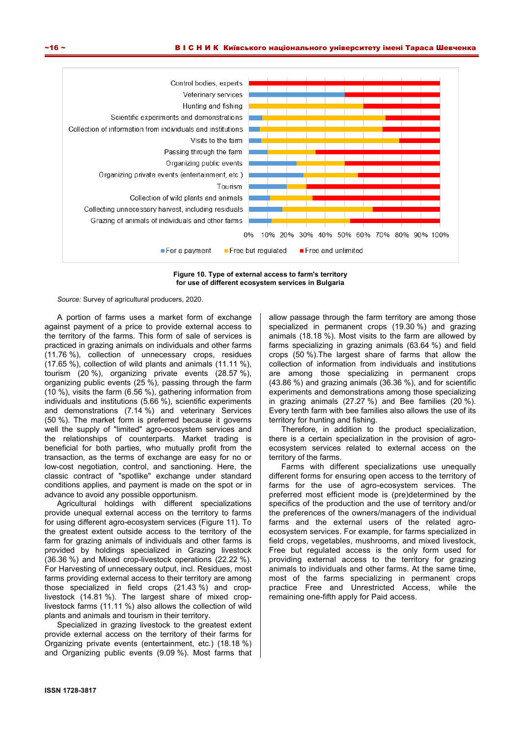

**Figure 10. Type of external access to farm's territory for use of different ecosystem services in Bulgaria** 

A portion of farms uses a market form of exchange against payment of a price to provide external access to the territory of the farms. This form of sale of services is practiced in grazing animals on individuals and other farms (11.76 %), collection of unnecessary crops, residues (17.65 %), collection of wild plants and animals (11.11 %), tourism (20 %), organizing private events (28.57 %), organizing public events (25 %), passing through the farm (10 %), visits the farm (6.56 %), gathering information from individuals and institutions (5.66 %), scientific experiments and demonstrations (7.14 %) and veterinary Services (50 %). The market form is preferred because it governs well the supply of "limited" agro-ecosystem services and the relationships of counterparts. Market trading is beneficial for both parties, who mutually profit from the transaction, as the terms of exchange are easy for no or low-cost negotiation, control, and sanctioning. Here, the classic contract of "spotlike" exchange under standard conditions applies, and payment is made on the spot or in advance to avoid any possible opportunism.

Agricultural holdings with different specializations provide unequal external access on the territory to farms for using different agro-ecosystem services (Figure 11). To the greatest extent outside access to the territory of the farm for grazing animals of individuals and other farms is provided by holdings specialized in Grazing livestock (36.36 %) and Mixed crop-livestock operations (22.22 %). For Harvesting of unnecessary output, incl. Residues, most farms providing external access to their territory are among those specialized in field crops (21.43 %) and croplivestock (14.81 %). The largest share of mixed croplivestock farms (11.11 %) also allows the collection of wild plants and animals and tourism in their territory.

Specialized in grazing livestock to the greatest extent provide external access on the territory of their farms for Organizing private events (entertainment, etc.) (18.18 %) and Organizing public events (9.09 %). Most farms that allow passage through the farm territory are among those specialized in permanent crops (19.30 %) and grazing animals (18.18 %). Most visits to the farm are allowed by farms specializing in grazing animals (63.64 %) and field crops (50 %).The largest share of farms that allow the collection of information from individuals and institutions are among those specializing in permanent crops (43.86 %) and grazing animals (36.36 %), and for scientific experiments and demonstrations among those specializing in grazing animals (27.27 %) and Bee families (20 %). Every tenth farm with bee families also allows the use of its territory for hunting and fishing.

Therefore, in addition to the product specialization, there is a certain specialization in the provision of agroecosystem services related to external access on the territory of the farms.

Farms with different specializations use unequally different forms for ensuring open access to the territory of farms for the use of agro-ecosystem services. The preferred most efficient mode is (pre)determined by the specifics of the production and the use of territory and/or the preferences of the owners/managers of the individual farms and the external users of the related agroecosystem services. For example, for farms specialized in field crops, vegetables, mushrooms, and mixed livestock, Free but regulated access is the only form used for providing external access to the territory for grazing animals to individuals and other farms. At the same time, most of the farms specializing in permanent crops practice Free and Unrestricted Access, while the remaining one-fifth apply for Paid access.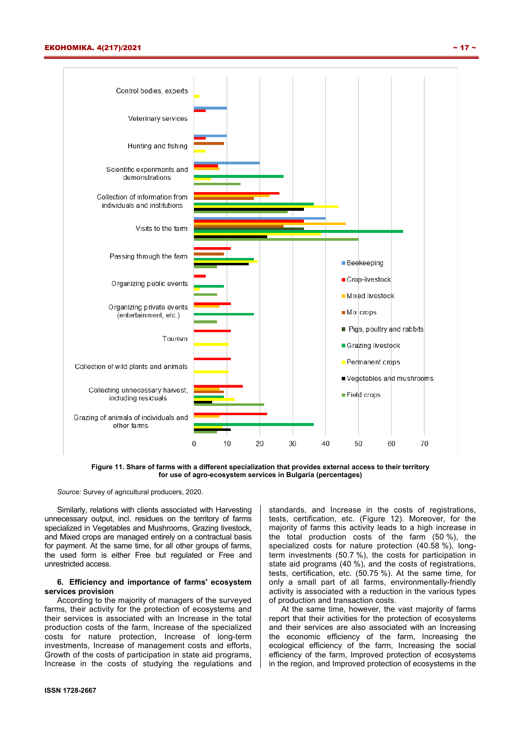

**Figure 11. Share of farms with a different specialization that provides external access to their territory for use of agro-ecosystem services in Bulgaria (percentages)** 

Similarly, relations with clients associated with Harvesting unnecessary output, incl. residues on the territory of farms specialized in Vegetables and Mushrooms, Grazing livestock, and Mixed crops are managed entirely on a contractual basis for payment. At the same time, for all other groups of farms, the used form is either Free but regulated or Free and unrestricted access.

## **6. Efficiency and importance of farms' ecosystem services provision**

According to the majority of managers of the surveyed farms, their activity for the protection of ecosystems and their services is associated with an Increase in the total production costs of the farm, Increase of the specialized costs for nature protection, Increase of long-term investments, Increase of management costs and efforts, Growth of the costs of participation in state aid programs, Increase in the costs of studying the regulations and

standards, and Increase in the costs of registrations, tests, certification, etc. (Figure 12). Moreover, for the majority of farms this activity leads to a high increase in the total production costs of the farm (50 %), the specialized costs for nature protection (40.58 %), longterm investments (50.7 %), the costs for participation in state aid programs (40 %), and the costs of registrations, tests, certification, etc. (50.75 %). At the same time, for only a small part of all farms, environmentally-friendly activity is associated with a reduction in the various types of production and transaction costs.

At the same time, however, the vast majority of farms report that their activities for the protection of ecosystems and their services are also associated with an Increasing the economic efficiency of the farm, Increasing the ecological efficiency of the farm, Increasing the social efficiency of the farm, Improved protection of ecosystems in the region, and Improved protection of ecosystems in the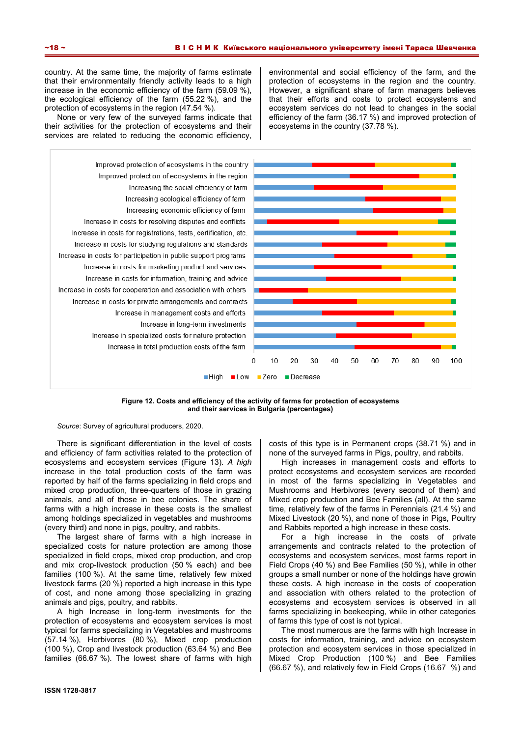country. At the same time, the majority of farms estimate that their environmentally friendly activity leads to a high increase in the economic efficiency of the farm (59.09 %), the ecological efficiency of the farm (55.22 %), and the protection of ecosystems in the region (47.54 %).

None or very few of the surveyed farms indicate that their activities for the protection of ecosystems and their services are related to reducing the economic efficiency, environmental and social efficiency of the farm, and the protection of ecosystems in the region and the country. However, a significant share of farm managers believes that their efforts and costs to protect ecosystems and ecosystem services do not lead to changes in the social efficiency of the farm (36.17 %) and improved protection of ecosystems in the country (37.78 %).



**Figure 12. Costs and efficiency of the activity of farms for protection of ecosystems and their services in Bulgaria (percentages)** 

*Source*: Survey of agricultural producers, 2020.

There is significant differentiation in the level of costs and efficiency of farm activities related to the protection of ecosystems and ecosystem services (Figure 13). *A high* increase in the total production costs of the farm was reported by half of the farms specializing in field crops and mixed crop production, three-quarters of those in grazing animals, and all of those in bee colonies. The share of farms with a high increase in these costs is the smallest among holdings specialized in vegetables and mushrooms (every third) and none in pigs, poultry, and rabbits.

The largest share of farms with a high increase in specialized costs for nature protection are among those specialized in field crops, mixed crop production, and crop and mix crop-livestock production (50 % each) and bee families (100 %). At the same time, relatively few mixed livestock farms (20 %) reported a high increase in this type of cost, and none among those specializing in grazing animals and pigs, poultry, and rabbits.

A high Increase in long-term investments for the protection of ecosystems and ecosystem services is most typical for farms specializing in Vegetables and mushrooms (57.14 %), Herbivores (80 %), Mixed crop production (100 %), Crop and livestock production (63.64 %) and Bee families (66.67 %). The lowest share of farms with high

costs of this type is in Permanent crops (38.71 %) and in none of the surveyed farms in Pigs, poultry, and rabbits.

High increases in management costs and efforts to protect ecosystems and ecosystem services are recorded in most of the farms specializing in Vegetables and Mushrooms and Herbivores (every second of them) and Mixed crop production and Bee Families (all). At the same time, relatively few of the farms in Perennials (21.4 %) and Mixed Livestock (20 %), and none of those in Pigs, Poultry and Rabbits reported a high increase in these costs.

For a high increase in the costs of private arrangements and contracts related to the protection of ecosystems and ecosystem services, most farms report in Field Crops (40 %) and Bee Families (50 %), while in other groups a small number or none of the holdings have growin these costs. A high increase in the costs of cooperation and association with others related to the protection of ecosystems and ecosystem services is observed in all farms specializing in beekeeping, while in other categories of farms this type of cost is not typical.

The most numerous are the farms with high Increase in costs for information, training, and advice on ecosystem protection and ecosystem services in those specialized in Mixed Crop Production (100 %) and Bee Families (66.67 %), and relatively few in Field Crops (16.67 %) and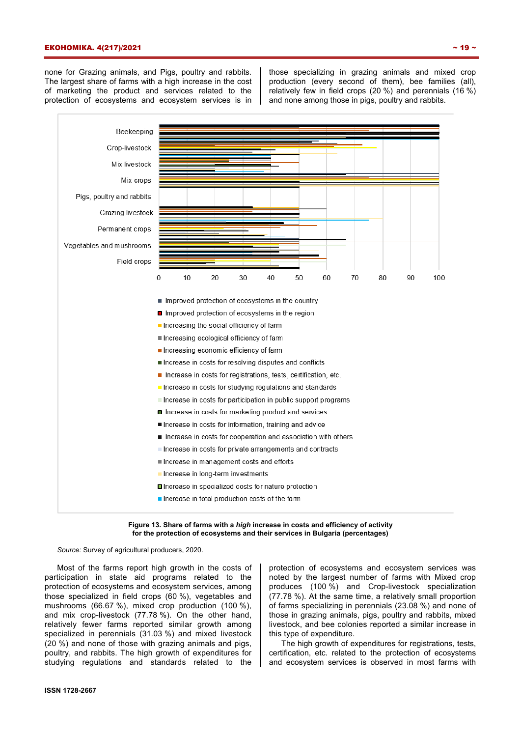#### ЕКОНОМІКА. 4(217)/2021 ~ 19 ~

none for Grazing animals, and Pigs, poultry and rabbits. The largest share of farms with a high increase in the cost of marketing the product and services related to the protection of ecosystems and ecosystem services is in

those specializing in grazing animals and mixed crop production (every second of them), bee families (all), relatively few in field crops (20 %) and perennials (16 %) and none among those in pigs, poultry and rabbits.



#### **Figure 13. Share of farms with a** *high* **increase in costs and efficiency of activity for the protection of ecosystems and their services in Bulgaria (percentages)**

*Source:* Survey of agricultural producers, 2020.

Most of the farms report high growth in the costs of participation in state aid programs related to the protection of ecosystems and ecosystem services, among those specialized in field crops (60 %), vegetables and mushrooms (66.67 %), mixed crop production (100 %), and mix crop-livestock (77.78 %). On the other hand, relatively fewer farms reported similar growth among specialized in perennials (31.03 %) and mixed livestock (20 %) and none of those with grazing animals and pigs, poultry, and rabbits. The high growth of expenditures for studying regulations and standards related to the

protection of ecosystems and ecosystem services was noted by the largest number of farms with Mixed crop produces (100 %) and Crop-livestock specialization (77.78 %). At the same time, a relatively small proportion of farms specializing in perennials (23.08 %) and none of those in grazing animals, pigs, poultry and rabbits, mixed livestock, and bee colonies reported a similar increase in this type of expenditure.

The high growth of expenditures for registrations, tests, certification, etc. related to the protection of ecosystems and ecosystem services is observed in most farms with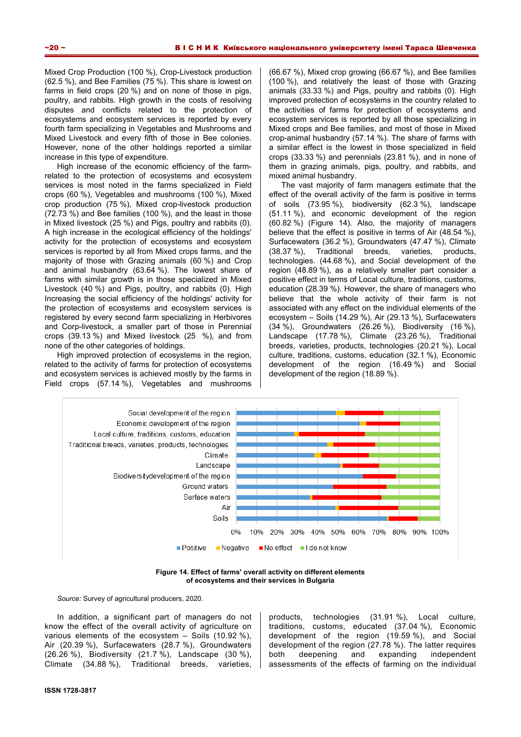Mixed Crop Production (100 %), Crop-Livestock production (62.5 %), and Bee Families (75 %). This share is lowest on farms in field crops (20 %) and on none of those in pigs, poultry, and rabbits. High growth in the costs of resolving disputes and conflicts related to the protection of ecosystems and ecosystem services is reported by every fourth farm specializing in Vegetables and Mushrooms and Mixed Livestock and every fifth of those in Bee colonies. However, none of the other holdings reported a similar increase in this type of expenditure.

High increase of the economic efficiency of the farmrelated to the protection of ecosystems and ecosystem services is most noted in the farms specialized in Field crops (60 %), Vegetables and mushrooms (100 %), Mixed crop production (75 %), Mixed crop-livestock production (72.73 %) and Bee families (100 %), and the least in those in Mixed livestock (25 %) and Pigs, poultry and rabbits (0). A high increase in the ecological efficiency of the holdings' activity for the protection of ecosystems and ecosystem services is reported by all from Mixed crops farms, and the majority of those with Grazing animals (60 %) and Crop and animal husbandry (63.64 %). The lowest share of farms with similar growth is in those specialized in Mixed Livestock (40 %) and Pigs, poultry, and rabbits (0). High Increasing the social efficiency of the holdings' activity for the protection of ecosystems and ecosystem services is registered by every second farm specializing in Herbivores and Corp-livestock, a smaller part of those in Perennial crops (39.13 %) and Mixed livestock (25 %), and from none of the other categories of holdings.

High improved protection of ecosystems in the region, related to the activity of farms for protection of ecosystems and ecosystem services is achieved mostly by the farms in Field crops (57.14 %), Vegetables and mushrooms (66.67 %), Mixed crop growing (66.67 %), and Bee families (100 %), and relatively the least of those with Grazing animals (33.33 %) and Pigs, poultry and rabbits (0). High improved protection of ecosystems in the country related to the activities of farms for protection of ecosystems and ecosystem services is reported by all those specializing in Mixed crops and Bee families, and most of those in Mixed crop-animal husbandry (57.14 %). The share of farms with a similar effect is the lowest in those specialized in field crops (33.33 %) and perennials (23.81 %), and in none of them in grazing animals, pigs, poultry, and rabbits, and mixed animal husbandry.

The vast majority of farm managers estimate that the effect of the overall activity of the farm is positive in terms of soils (73.95 %), biodiversity (62.3 %), landscape (51.11 %), and economic development of the region (60.82 %) (Figure 14). Also, the majority of managers believe that the effect is positive in terms of Air (48.54 %), Surfacewaters (36.2 %), Groundwaters (47.47 %), Climate (38.37 %), Traditional breeds, varieties, products, technologies. (44.68 %), and Social development of the region (48.89 %), as a relatively smaller part consider a positive effect in terms of Local culture, traditions, customs, education (28.39 %). However, the share of managers who believe that the whole activity of their farm is not associated with any effect on the individual elements of the ecosystem – Soils (14.29 %), Air (29.13 %), Surfacewaters (34 %), Groundwaters (26.26 %), Biodiversity (16 %), Landscape (17.78 %), Climate (23.26 %), Traditional breeds, varieties, products, technologies (20.21 %), Local culture, traditions, customs, education (32.1 %), Economic development of the region (16.49 %) and Social development of the region (18.89 %).



**Figure 14. Effect of farms' overall activity on different elements of ecosystems and their services in Bulgaria** 

*Source:* Survey of agricultural producers, 2020.

In addition, a significant part of managers do not know the effect of the overall activity of agriculture on various elements of the ecosystem – Soils (10.92 %), Air (20.39 %), Surfacewaters (28.7 %), Groundwaters (26.26 %), Biodiversity (21.7 %), Landscape (30 %), Climate (34.88 %), Traditional breeds, varieties,

products, technologies (31.91 %), Local culture, traditions, customs, educated (37.04 %), Economic development of the region (19.59 %), and Social development of the region (27.78 %). The latter requires both deepening and expanding independent assessments of the effects of farming on the individual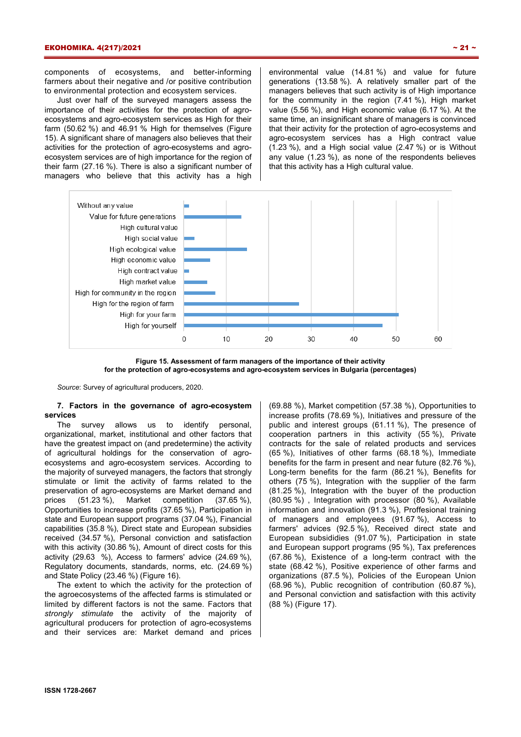components of ecosystems, and better-informing farmers about their negative and /or positive contribution to environmental protection and ecosystem services.

Just over half of the surveyed managers assess the importance of their activities for the protection of agroecosystems and agro-ecosystem services as High for their farm (50.62 %) and 46.91 % High for themselves (Figure 15). A significant share of managers also believes that their activities for the protection of agro-ecosystems and agroecosystem services are of high importance for the region of their farm (27.16 %). There is also a significant number of managers who believe that this activity has a high environmental value (14.81 %) and value for future generations (13.58 %). A relatively smaller part of the managers believes that such activity is of High importance for the community in the region (7.41 %), High market value (5.56 %), and High economic value (6.17 %). At the same time, an insignificant share of managers is convinced that their activity for the protection of agro-ecosystems and agro-ecosystem services has a High contract value  $(1.23 \%)$ , and a High social value  $(2.47 \%)$  or is Without any value (1.23 %), as none of the respondents believes that this activity has a High cultural value.





*Source*: Survey of agricultural producers, 2020.

## **7. Factors in the governance of agro-ecosystem services**

The survey allows us to identify personal, organizational, market, institutional and other factors that have the greatest impact on (and predetermine) the activity of agricultural holdings for the conservation of agroecosystems and agro-ecosystem services. According to the majority of surveyed managers, the factors that strongly stimulate or limit the activity of farms related to the preservation of agro-ecosystems are Market demand and prices (51.23 %), Market competition (37.65 %), Opportunities to increase profits (37.65 %), Participation in state and European support programs (37.04 %), Financial capabilities (35.8 %), Direct state and European subsidies received (34.57 %), Personal conviction and satisfaction with this activity (30.86 %), Amount of direct costs for this activity (29.63 %), Access to farmers' advice (24.69 %), Regulatory documents, standards, norms, etc. (24.69 %) and State Policy (23.46 %) (Figure 16).

The extent to which the activity for the protection of the agroecosystems of the affected farms is stimulated or limited by different factors is not the same. Factors that *strongly stimulate* the activity of the majority of agricultural producers for protection of agro-ecosystems and their services are: Market demand and prices (69.88 %), Market competition (57.38 %), Opportunities to increase profits (78.69 %), Initiatives and pressure of the public and interest groups (61.11 %), The presence of cooperation partners in this activity (55 %), Private contracts for the sale of related products and services (65 %), Initiatives of other farms (68.18 %), Immediate benefits for the farm in present and near future (82.76 %), Long-term benefits for the farm (86.21 %), Benefits for others (75 %), Integration with the supplier of the farm (81.25 %), Integration with the buyer of the production (80.95 %) , Integration with processor (80 %), Available information and innovation (91.3 %), Proffesional training of managers and employees (91.67 %), Access to farmers' advices (92.5 %), Received direct state and European subsididies (91.07 %), Participation in state and European support programs (95 %), Tax preferences (67.86 %), Existence of a long-term contract with the state (68.42 %), Positive experience of other farms and organizations (87.5 %), Policies of the European Union (68.96 %), Public recognition of contribution (60.87 %), and Personal conviction and satisfaction with this activity (88 %) (Figure 17).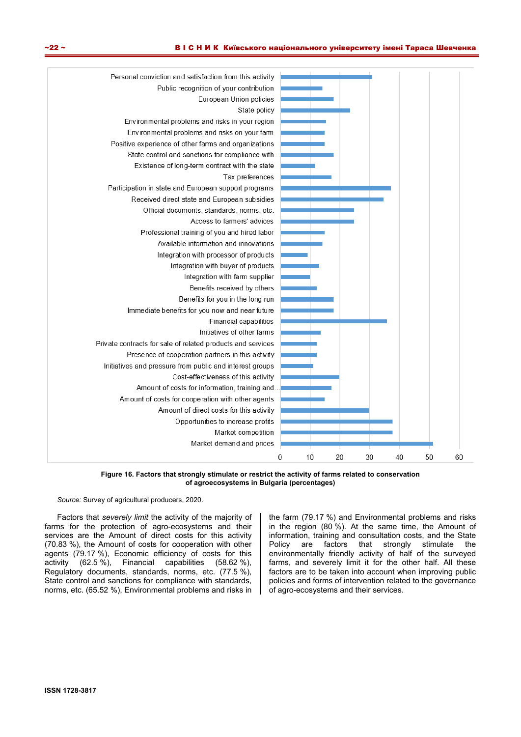

**Figure 16. Factors that strongly stimulate or restrict the activity of farms related to conservation of agroecosystems in Bulgaria (percentages)** 

Factors that *severely limit* the activity of the majority of farms for the protection of agro-ecosystems and their services are the Amount of direct costs for this activity (70.83 %), the Amount of costs for cooperation with other agents (79.17 %), Economic efficiency of costs for this activity (62.5 %), Financial capabilities (58.62 %), Regulatory documents, standards, norms, etc. (77.5 %), State control and sanctions for compliance with standards, norms, etc. (65.52 %), Environmental problems and risks in the farm (79.17 %) and Environmental problems and risks in the region (80 %). At the same time, the Amount of information, training and consultation costs, and the State Policy are factors that strongly stimulate the environmentally friendly activity of half of the surveyed farms, and severely limit it for the other half. All these factors are to be taken into account when improving public policies and forms of intervention related to the governance of agro-ecosystems and their services.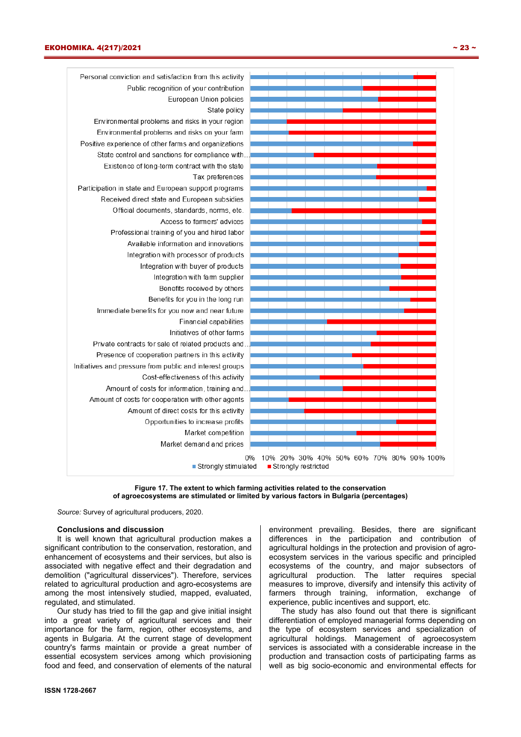



#### **Conclusions and discussion**

It is well known that agricultural production makes a significant contribution to the conservation, restoration, and enhancement of ecosystems and their services, but also is associated with negative effect and their degradation and demolition ("agricultural disservices"). Therefore, services related to agricultural production and agro-ecosystems are among the most intensively studied, mapped, evaluated, regulated, and stimulated.

Our study has tried to fill the gap and give initial insight into a great variety of agricultural services and their importance for the farm, region, other ecosystems, and agents in Bulgaria. At the current stage of development country's farms maintain or provide a great number of essential ecosystem services among which provisioning food and feed, and conservation of elements of the natural environment prevailing. Besides, there are significant differences in the participation and contribution of agricultural holdings in the protection and provision of agroecosystem services in the various specific and principled ecosystems of the country, and major subsectors of agricultural production. The latter requires special measures to improve, diversify and intensify this activity of farmers through training, information, exchange of experience, public incentives and support, etc.

The study has also found out that there is significant differentiation of employed managerial forms depending on the type of ecosystem services and specialization of agricultural holdings. Management of agroecosystem services is associated with a considerable increase in the production and transaction costs of participating farms as well as big socio-economic and environmental effects for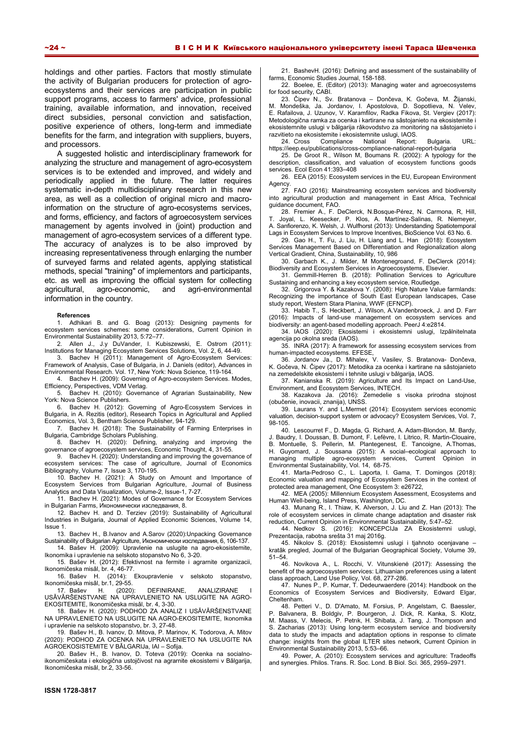holdings and other parties. Factors that mostly stimulate the activity of Bulgarian producers for protection of agroecosystems and their services are participation in public support programs, access to farmers' advice, professional training, available information, and innovation, received direct subsidies, personal conviction and satisfaction, positive experience of others, long-term and immediate benefits for the farm, and integration with suppliers, buyers, and processors.

A suggested holistic and interdisciplinary framework for analyzing the structure and management of agro-ecosystem services is to be extended and improved, and widely and periodically applied in the future. The latter requires systematic in-depth multidisciplinary research in this new area, as well as a collection of original micro and macroinformation on the structure of agro-ecosystems services, and forms, efficiency, and factors of agroecosystem services management by agents involved in (joint) production and management of agro-ecosystem services of a different type. The accuracy of analyzes is to be also improved by increasing representativeness through enlarging the number of surveyed farms and related agents, applying statistical methods, special "training" of implementors and participants, etc. as well as improving the official system for collecting agricultural, agro-economic, and agri-environmental information in the country.

#### **References**

1. Adhikari B. and G. Boag (2013): Designing payments for ecosystem services schemes: some considerations, Current Opinion in Environmental Sustainability 2013, 5:72–77.

2. Allen J., J.y DuVander, I. Kubiszewski, E. Ostrom (2011): Institutions for Managing Ecosystem Services Solutions, Vol. 2, 6, 44-49.

3. Bachev H (2011): Management of Agro-Ecosystem Services: Framework of Analysis, Case of Bulgaria, in J. Daniels (editor), Advances in Environmental Research. Vol. 17, New York: Nova Science, 119-164.

4. Bachev H. (2009): Governing of Agro-ecosystem Services. Modes, Efficiency, Perspectives, VDM Verlag.

5. Bachev H. (2010): Governance of Agrarian Sustainability, New York: Nova Science Publishers.

6. Bachev H. (2012): Governing of Agro-Ecosystem Services in Bulgaria, in A. Rezitis (editor), Research Topics in Agricultural and Applied Economics, Vol. 3, Bentham Science Publisher, 94-129.

7. Bachev H. (2018): The Sustainability of Farming Enterprises in Bulgaria, Cambridge Scholars Publishing.

8. Bachev H. (2020): Defining, analyzing and improving the governance of agroecosystem services, Economic Thought, 4, 31-55.

9. Bachev H. (2020): Understanding and improving the governance of ecosystem services: The case of agriculture, Journal of Economics Bibliography, Volume 7, Issue 3, 170-195.

10. Bachev H. (2021): A Study on Amount and Importance of Ecosystem Services from Bulgarian Agriculture, Journal of Business Analytics and Data Visualization, Volume-2, Issue-1, 7-27.

11. Bachev H. (2021): Modes of Governance for Ecosystem Services in Bulgarian Farms, Икономически изследвания, 8.

12. Bachev H. and D. Terziev (2019): Sustainability of Agricultural Industries in Bulgaria, Journal of Applied Economic Sciences, Volume 14, Issue 1.

13. Bachev H., B.Ivanov and A.Sarov (2020):Unpacking Governance Sustainability of Bulgarian Agriculture, Икономически изследвания, 6, 106-137.

14. Bašev H. (2009): Upravlenie na uslugite na agro-ekosistemite, Ikonomika i upravlenie na selskoto stopanstvo No 6, 3-20.

15. Bašev H. (2012): Efektivnost na fermite i agrarnite organizacii, Ikonomičeska misǎl, br. 4, 46-77.

16. Bašev H. (2014): Ekoupravlenie v selskoto stopanstvo, Ikonomičeska misǎl, br.1, 29-55.

17. Bašev H. (2020): DEFINIRANE, ANALIZIRANE I USǍVǍRŠENSTVANE NA UPRAVLENIETO NA USLUGITE NA AGRO-EKOSITEMITE, Ikonomičeska misǎl, br. 4, 3-30.

18. Bašev H. (2020): PODHOD ZA ANALIZ I USǍVǍRŠENSTVANE NA UPRAVLENIETO NA USLUGITE NA AGRO-EKOSITEMITE, Ikonomika i upravlenie na selskoto stopanstvo, br. 3, 27-48.

19. Bašev H., B. Ivanov, D. Mitova, P. Marinov, K. Todorova, A. Mitov (2020): PODHOD ZA OCENKA NA UPRAVLENIETO NA USLUGITE NA AGROEKOSISTEMITE V BǍLGARIJa, IAI – Sofija.

20. Bašev H., B. Ivanov, D. Toteva (2019): Ocenka na socialnoikonomičeskata i ekologična ustojčivost na agrarnite ekosistemi v Bǎlgarija, Ikonomičeska misǎl, br.2, 33-56.

21. BashevH. (2016): Defining and assessment of the sustainability of farms, Economic Studies Journal, 158-188.

22. Boelee, E. (Editor) (2013): Managing water and agroecosystems for food security, CABI.

23. Čipev N., Sv. Bratanova – Dončeva, K. Gočeva, M. Žijanski, M. Mondeška, Ja. Jordanov, I. Apostolova, D. Sopotlieva, N. Velev, E. Rafailova, J. Uzunov, V. Karamfilov, Radka Fikova, St. Vergiev (2017): Metodologična ramka za ocenka i kartirane na sǎstojanieto na ekosistemite i ekosistemnite uslugi v bǎlgarija rǎkovodstvo za monitoring na sǎstojanieto i razvitieto na ekosistemite i ekosistemnite uslugi, IAOS.

24. Cross Compliance National Report: Bulgaria. URL: https://ieep.eu/publications/cross-compliance-national-report-bulgaria

25. De Groot R., Wilson M, Boumans R. (2002): A typology for the description, classification, and valuation of ecosystem functions goods services. Ecol Econ 41:393–408

26. EEA (2015): Ecosystem services in the EU, European Environment Agency.

27. FAO (2016): Mainstreaming ecosystem services and biodiversity into agricultural production and management in East Africa, Technical guidance document, FAO.

28. Fremier A., F. DeClerck, N.Bosque-Pérez, N. Carmona, R, Hill, T. Joyal, L. Keesecker, P. Klos, A. Martínez-Salinas, R. Niemeyer, A. Sanfiorenzo, K. Welsh, J. Wulfhorst (2013): Understanding Spatiotemporal Lags in Ecosystem Services to Improve Incentives, BioScience Vol. 63 No. 6.

29. Gao H., T. Fu, J. Liu, H. Liang and L. Han (2018): Ecosystem Services Management Based on Differentiation and Regionalization along Vertical Gradient, China, Sustainability, 10, 986

30. Garbach K., J. Milder, M Montenegroand, F. DeClerck (2014): Biodiversity and Ecosystem Services in Agroecosystems, Elsevier.

31. Gemmill-Herren B. (2018): Pollination Services to Agriculture Sustaining and enhancing a key ecosystem service, Routledge.

32. Grigorova Y. & Kazakova Y. (2008): High Nature Value farmlands: Recognizing the importance of South East European landscapes, Case study report, Western Stara Planina, WWF (EFNCP).

33. Habib T., S. Heckbert, J. Wilson, A.Vandenbroeck, J. and D. Farr (2016): Impacts of land-use management on ecosystem services and biodiversity: an agent-based modelling approach. PeerJ 4:e2814.

34. IAOS (2020): Ekosistemi i ekosistemni uslugi, Izpǎlnitelnata agencija po okolna sreda (IAOS).

35. INRA (2017): A framework for assessing ecosystem services from human-impacted ecosystems. EFESE,

36. Jordanov Ja., D. Mihalev, V. Vasilev, S. Bratanova- Dončeva, K. Gočeva, N. Čipev (2017): Metodika za ocenka i kartirane na sǎstojanieto na zemedelskite ekosistemi i tehnite uslugi v bǎlgarija, IAOS.

37. Kanianska R. (2019): Agriculture and Its Impact on Land-Use, Environment, and Ecosystem Services, INTECH.

38. Kazakova Ja. (2016): Zemedelie s visoka prirodna stojnost (obučenie, inovacii, znanija), UNSS.

39. Laurans Y. and L.Mermet (2014): Ecosystem services economic valuation, decision-support system or advocacy? Ecosystem Services, Vol. 7, 98-105.

40. Lescourret F., D. Magda, G. Richard, A. Adam-Blondon, M. Bardy, J. Baudry, I. Doussan, B. Dumont, F. Lefèvre, I. Litrico, R. Martin-Clouaire, B. Montuelle, S. Pellerin, M. Plantegenest, E. Tancoigne, A.Thomas, H. Guyomard, J. Soussana (2015): A social–ecological approach to managing multiple agro-ecosystem services, Current Opinion in

Environmental Sustainability, Vol. 14, 68-75. 41. Marta-Pedroso C., L. Laporta, I. Gama, T. Domingos (2018): Economic valuation and mapping of Ecosystem Services in the context of protected area management, One Ecosystem 3: e26722,

42. MEA (2005): Millennium Ecosystem Assessment, Ecosystems and Human Well-being, Island Press, Washington, DC.

43. Munang R., I. Thiaw, K. Alverson, J. Liu and Z. Han (2013): The role of ecosystem services in climate change adaptation and disaster risk reduction, Current Opinion in Environmental Sustainability, 5:47–52.

44. Nedkov S. (2016): KONCEPCIJa ZA Ekosistemni uslugi, Prezentacija, rabotna srešta 31 maj 2016g.

45. Nikolov S. (2018): Ekosistemni uslugi i tjahnoto ocenjavane – kratǎk pregled, Journal of the Bulgarian Geographical Society, Volume 39, 51–54.

46. Novikova A., L. Rocchi, V. Vitunskienė (2017): Assessing the benefit of the agroecosystem services: Lithuanian preferences using a latent class approach, Land Use Policy, Vol. 68, 277-286.

47. Nunes P., P. Kumar, T. Dedeurwaerdere (2014): Handbook on the Economics of Ecosystem Services and Biodiversity, Edward Elgar, Cheltenham.

48. Petteri V., D. D'Amato, M. Forsius, P. Angelstam, C. Baessler, P. Balvanera, B. Boldgiv, P. Bourgeron, J. Dick, R. Kanka, S. Klotz, M. Maass, V. Melecis, P. Petrık, H. Shibata, J. Tang, J. Thompson and S. Zacharias (2013): Using long-term ecosystem service and biodiversity data to study the impacts and adaptation options in response to climate change: insights from the global ILTER sites network, Current Opinion in Environmental Sustainability 2013, 5:53–66.

49. Power, A. (2010): Ecosystem services and agriculture: Tradeoffs and synergies. Philos. Trans. R. Soc. Lond. B Biol. Sci. 365, 2959–2971.